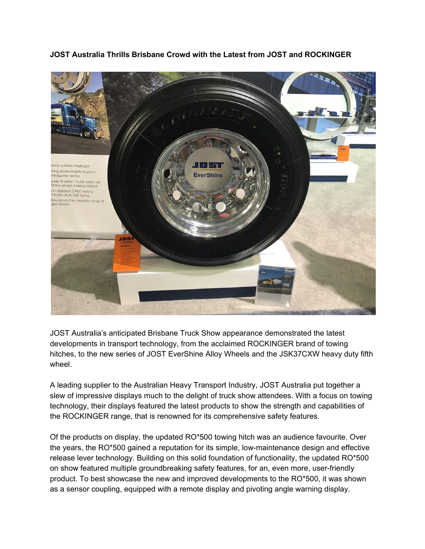## **JOST Australia Thrills Brisbane Crowd with the Latest from JOST and ROCKINGER**



JOST Australia's anticipated Brisbane Truck Show appearance demonstrated the latest developments in transport technology, from the acclaimed ROCKINGER brand of towing hitches, to the new series of JOST EverShine Alloy Wheels and the JSK37CXW heavy duty fifth wheel.

A leading supplier to the Australian Heavy Transport Industry, JOST Australia put together a slew of impressive displays much to the delight of truck show attendees. With a focus on towing technology, their displays featured the latest products to show the strength and capabilities of the ROCKINGER range, that is renowned for its comprehensive safety features.

Of the products on display, the updated RO\*500 towing hitch was an audience favourite. Over the years, the RO\*500 gained a reputation for its simple, low-maintenance design and effective release lever technology. Building on this solid foundation of functionality, the updated RO\*500 on show featured multiple groundbreaking safety features, for an, even more, user-friendly product. To best showcase the new and improved developments to the RO\*500, it was shown as a sensor coupling, equipped with a remote display and pivoting angle warning display.